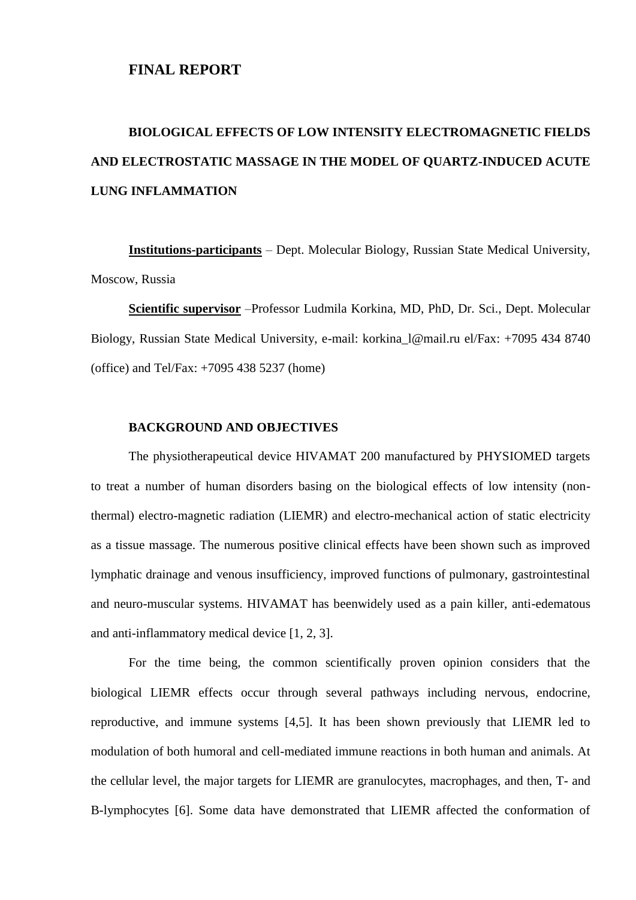#### **FINAL REPORT**

# **BIOLOGICAL EFFECTS OF LOW INTENSITY ELECTROMAGNETIC FIELDS AND ELECTROSTATIC MASSAGE IN THE MODEL OF QUARTZ-INDUCED ACUTE LUNG INFLAMMATION**

**Institutions-participants** – Dept. Molecular Biology, Russian State Medical University, Moscow, Russia

**Scientific supervisor** –Professor Ludmila Korkina, MD, PhD, Dr. Sci., Dept. Molecular Biology, Russian State Medical University, e-mail: [korkina\\_l@mail.ru](mailto:korkina_l@mail.ru) el/Fax: +7095 434 8740 (office) and Tel/Fax: +7095 438 5237 (home)

#### **BACKGROUND AND OBJECTIVES**

The physiotherapeutical device HIVAMAT 200 manufactured by PHYSIOMED targets to treat a number of human disorders basing on the biological effects of low intensity (nonthermal) electro-magnetic radiation (LIEMR) and electro-mechanical action of static electricity as a tissue massage. The numerous positive clinical effects have been shown such as improved lymphatic drainage and venous insufficiency, improved functions of pulmonary, gastrointestinal and neuro-muscular systems. HIVAMAT has beenwidely used as a pain killer, anti-edematous and anti-inflammatory medical device [1, 2, 3].

For the time being, the common scientifically proven opinion considers that the biological LIEMR effects occur through several pathways including nervous, endocrine, reproductive, and immune systems [4,5]. It has been shown previously that LIEMR led to modulation of both humoral and cell-mediated immune reactions in both human and animals. At the cellular level, the major targets for LIEMR are granulocytes, macrophages, and then, T- and B-lymphocytes [6]. Some data have demonstrated that LIEMR affected the conformation of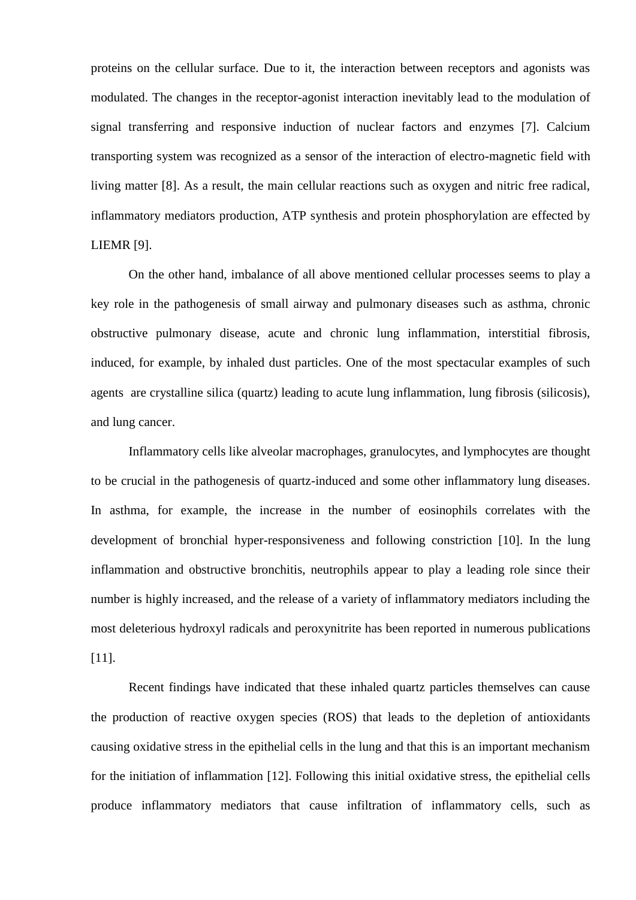proteins on the cellular surface. Due to it, the interaction between receptors and agonists was modulated. The changes in the receptor-agonist interaction inevitably lead to the modulation of signal transferring and responsive induction of nuclear factors and enzymes [7]. Calcium transporting system was recognized as a sensor of the interaction of electro-magnetic field with living matter [8]. As a result, the main cellular reactions such as oxygen and nitric free radical, inflammatory mediators production, ATP synthesis and protein phosphorylation are effected by LIEMR [9].

On the other hand, imbalance of all above mentioned cellular processes seems to play a key role in the pathogenesis of small airway and pulmonary diseases such as asthma, chronic obstructive pulmonary disease, acute and chronic lung inflammation, interstitial fibrosis, induced, for example, by inhaled dust particles. One of the most spectacular examples of such agents are crystalline silica (quartz) leading to acute lung inflammation, lung fibrosis (silicosis), and lung cancer.

Inflammatory cells like alveolar macrophages, granulocytes, and lymphocytes are thought to be crucial in the pathogenesis of quartz-induced and some other inflammatory lung diseases. In asthma, for example, the increase in the number of eosinophils correlates with the development of bronchial hyper-responsiveness and following constriction [10]. In the lung inflammation and obstructive bronchitis, neutrophils appear to play a leading role since their number is highly increased, and the release of a variety of inflammatory mediators including the most deleterious hydroxyl radicals and peroxynitrite has been reported in numerous publications [11].

Recent findings have indicated that these inhaled quartz particles themselves can cause the production of reactive oxygen species (ROS) that leads to the depletion of antioxidants causing oxidative stress in the epithelial cells in the lung and that this is an important mechanism for the initiation of inflammation [12]. Following this initial oxidative stress, the epithelial cells produce inflammatory mediators that cause infiltration of inflammatory cells, such as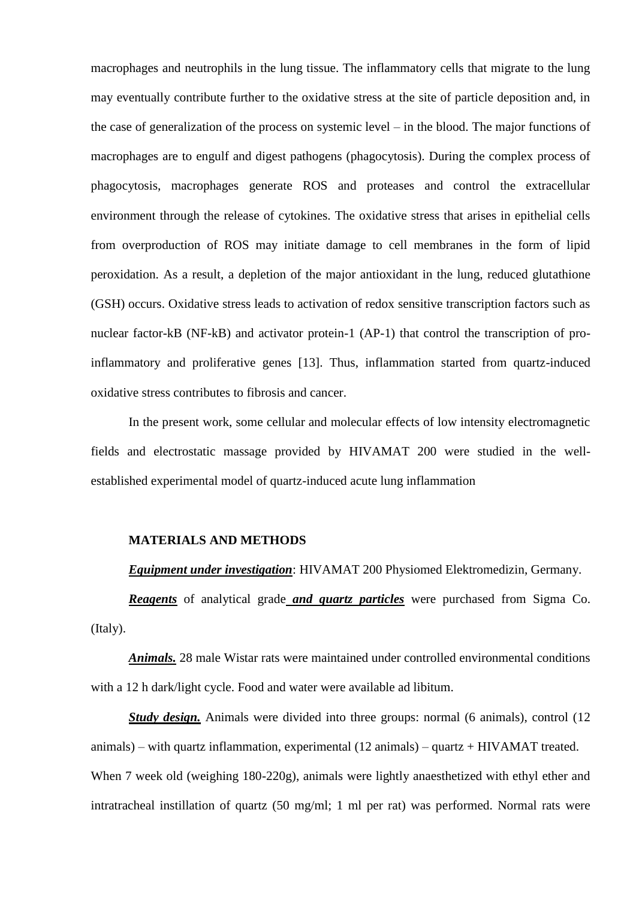macrophages and neutrophils in the lung tissue. The inflammatory cells that migrate to the lung may eventually contribute further to the oxidative stress at the site of particle deposition and, in the case of generalization of the process on systemic level – in the blood. The major functions of macrophages are to engulf and digest pathogens (phagocytosis). During the complex process of phagocytosis, macrophages generate ROS and proteases and control the extracellular environment through the release of cytokines. The oxidative stress that arises in epithelial cells from overproduction of ROS may initiate damage to cell membranes in the form of lipid peroxidation. As a result, a depletion of the major antioxidant in the lung, reduced glutathione (GSH) occurs. Oxidative stress leads to activation of redox sensitive transcription factors such as nuclear factor-kB (NF-kB) and activator protein-1 (AP-1) that control the transcription of proinflammatory and proliferative genes [13]. Thus, inflammation started from quartz-induced oxidative stress contributes to fibrosis and cancer.

In the present work, some cellular and molecular effects of low intensity electromagnetic fields and electrostatic massage provided by HIVAMAT 200 were studied in the wellestablished experimental model of quartz-induced acute lung inflammation

#### **MATERIALS AND METHODS**

*Equipment under investigation*: HIVAMAT 200 Physiomed Elektromedizin, Germany.

*Reagents* of analytical grade *and quartz particles* were purchased from Sigma Co. (Italy).

*Animals.* 28 male Wistar rats were maintained under controlled environmental conditions with a 12 h dark/light cycle. Food and water were available ad libitum.

*Study design.* Animals were divided into three groups: normal (6 animals), control (12 animals) – with quartz inflammation, experimental  $(12 \text{ animals})$  – quartz + HIVAMAT treated. When 7 week old (weighing 180-220g), animals were lightly anaesthetized with ethyl ether and intratracheal instillation of quartz (50 mg/ml; 1 ml per rat) was performed. Normal rats were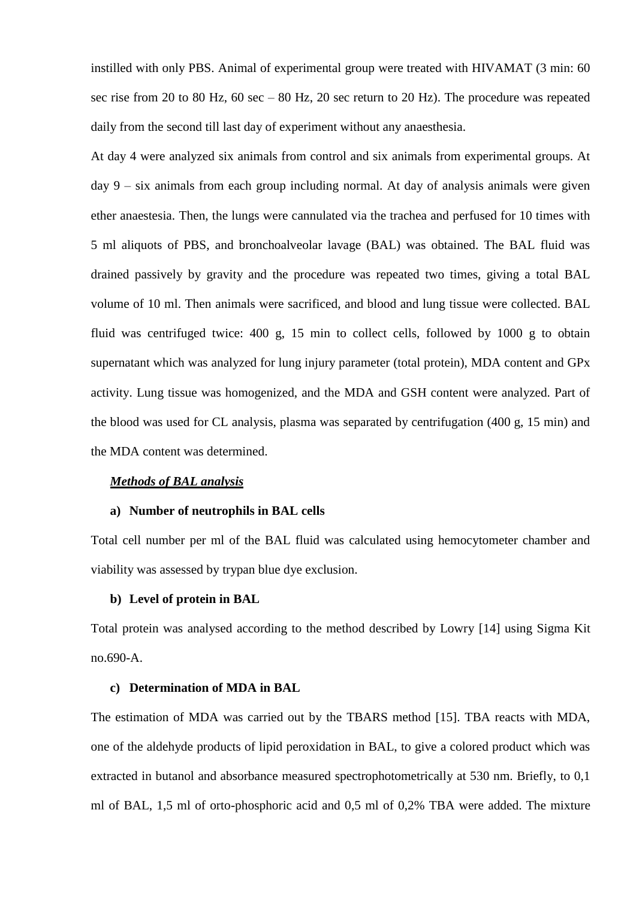instilled with only PBS. Animal of experimental group were treated with HIVAMAT (3 min: 60 sec rise from 20 to 80 Hz, 60 sec – 80 Hz, 20 sec return to 20 Hz). The procedure was repeated daily from the second till last day of experiment without any anaesthesia.

At day 4 were analyzed six animals from control and six animals from experimental groups. At day 9 – six animals from each group including normal. At day of analysis animals were given ether anaestesia. Then, the lungs were cannulated via the trachea and perfused for 10 times with 5 ml aliquots of PBS, and bronchoalveolar lavage (BAL) was obtained. The BAL fluid was drained passively by gravity and the procedure was repeated two times, giving a total BAL volume of 10 ml. Then animals were sacrificed, and blood and lung tissue were collected. BAL fluid was centrifuged twice: 400 g, 15 min to collect cells, followed by 1000 g to obtain supernatant which was analyzed for lung injury parameter (total protein), MDA content and GPx activity. Lung tissue was homogenized, and the MDA and GSH content were analyzed. Part of the blood was used for CL analysis, plasma was separated by centrifugation  $(400 \text{ g}, 15 \text{ min})$  and the MDA content was determined.

#### *Methods of BAL analysis*

#### **a) Number of neutrophils in BAL cells**

Total cell number per ml of the BAL fluid was calculated using hemocytometer chamber and viability was assessed by trypan blue dye exclusion.

#### **b) Level of protein in BAL**

Total protein was analysed according to the method described by Lowry [14] using Sigma Kit no.690-A.

#### **c) Determination of MDA in BAL**

The estimation of MDA was carried out by the TBARS method [15]. TBA reacts with MDA, one of the aldehyde products of lipid peroxidation in BAL, to give a colored product which was extracted in butanol and absorbance measured spectrophotometrically at 530 nm. Briefly, to 0,1 ml of BAL, 1,5 ml of orto-phosphoric acid and 0,5 ml of 0,2% TBA were added. The mixture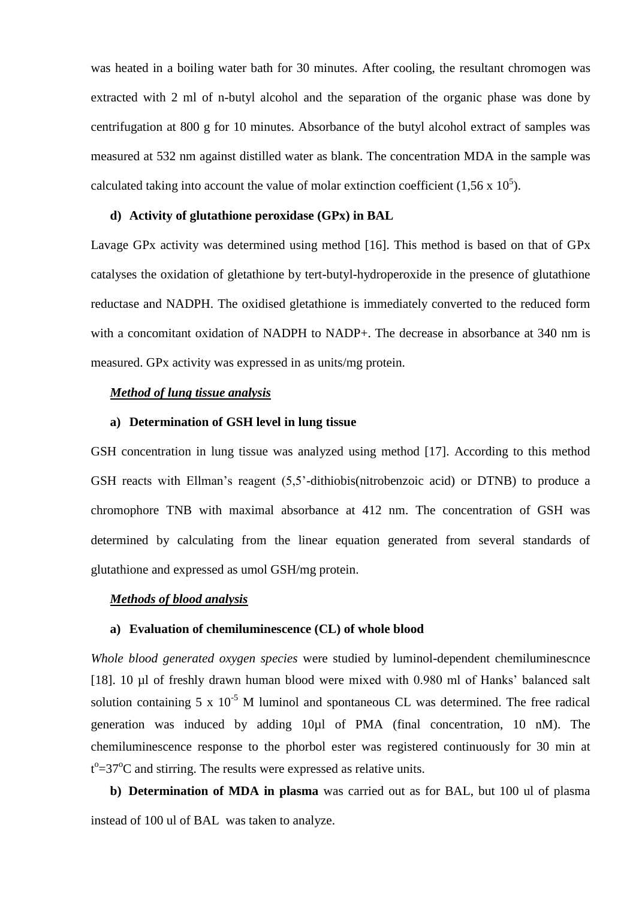was heated in a boiling water bath for 30 minutes. After cooling, the resultant chromogen was extracted with 2 ml of n-butyl alcohol and the separation of the organic phase was done by centrifugation at 800 g for 10 minutes. Absorbance of the butyl alcohol extract of samples was measured at 532 nm against distilled water as blank. The concentration MDA in the sample was calculated taking into account the value of molar extinction coefficient (1,56 x  $10^5$ ).

#### **d) Activity of glutathione peroxidase (GPx) in BAL**

Lavage GPx activity was determined using method [16]. This method is based on that of GPx catalyses the oxidation of gletathione by tert-butyl-hydroperoxide in the presence of glutathione reductase and NADPH. The oxidised gletathione is immediately converted to the reduced form with a concomitant oxidation of NADPH to NADP+. The decrease in absorbance at 340 nm is measured. GPx activity was expressed in as units/mg protein.

#### *Method of lung tissue analysis*

#### **a) Determination of GSH level in lung tissue**

GSH concentration in lung tissue was analyzed using method [17]. According to this method GSH reacts with Ellman's reagent (5,5'-dithiobis(nitrobenzoic acid) or DTNB) to produce a chromophore TNB with maximal absorbance at 412 nm. The concentration of GSH was determined by calculating from the linear equation generated from several standards of glutathione and expressed as umol GSH/mg protein.

#### *Methods of blood analysis*

#### **a) Evaluation of chemiluminescence (CL) of whole blood**

*Whole blood generated oxygen species* were studied by luminol-dependent chemiluminescnce [18]. 10 µl of freshly drawn human blood were mixed with 0.980 ml of Hanks' balanced salt solution containing 5 x  $10^{-5}$  M luminol and spontaneous CL was determined. The free radical generation was induced by adding 10µl of PMA (final concentration, 10 nM). The chemiluminescence response to the phorbol ester was registered continuously for 30 min at  $t^{\circ}$ =37 $^{\circ}$ C and stirring. The results were expressed as relative units.

**b) Determination of MDA in plasma** was carried out as for BAL, but 100 ul of plasma instead of 100 ul of BAL was taken to analyze.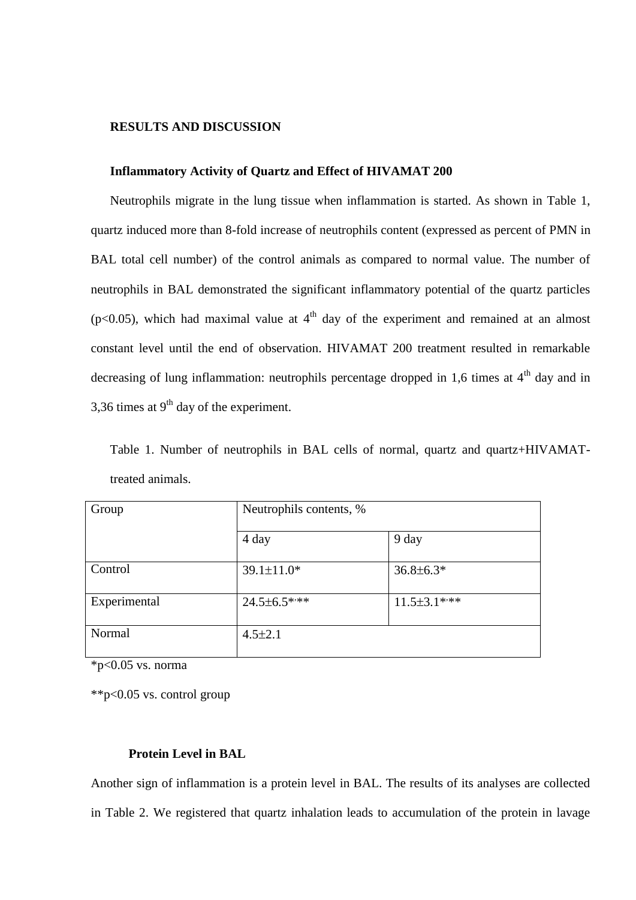#### **RESULTS AND DISCUSSION**

#### **Inflammatory Activity of Quartz and Effect of HIVAMAT 200**

Neutrophils migrate in the lung tissue when inflammation is started. As shown in Table 1, quartz induced more than 8-fold increase of neutrophils content (expressed as percent of PMN in BAL total cell number) of the control animals as compared to normal value. The number of neutrophils in BAL demonstrated the significant inflammatory potential of the quartz particles ( $p$ <0.05), which had maximal value at  $4<sup>th</sup>$  day of the experiment and remained at an almost constant level until the end of observation. HIVAMAT 200 treatment resulted in remarkable decreasing of lung inflammation: neutrophils percentage dropped in 1,6 times at  $4<sup>th</sup>$  day and in 3.36 times at  $9<sup>th</sup>$  day of the experiment.

Table 1. Number of neutrophils in BAL cells of normal, quartz and quartz+HIVAMATtreated animals.

| Group        | Neutrophils contents, % |                    |
|--------------|-------------------------|--------------------|
|              | 4 day                   | 9 day              |
| Control      | $39.1 \pm 11.0*$        | $36.8 \pm 6.3*$    |
| Experimental | $24.5 \pm 6.5$ ***      | $11.5 \pm 3.1$ *** |
| Normal       | $4.5 \pm 2.1$           |                    |

 $*$ p<0.05 vs. norma

\*\*p<0.05 vs. control group

#### **Protein Level in BAL**

Another sign of inflammation is a protein level in BAL. The results of its analyses are collected in Table 2. We registered that quartz inhalation leads to accumulation of the protein in lavage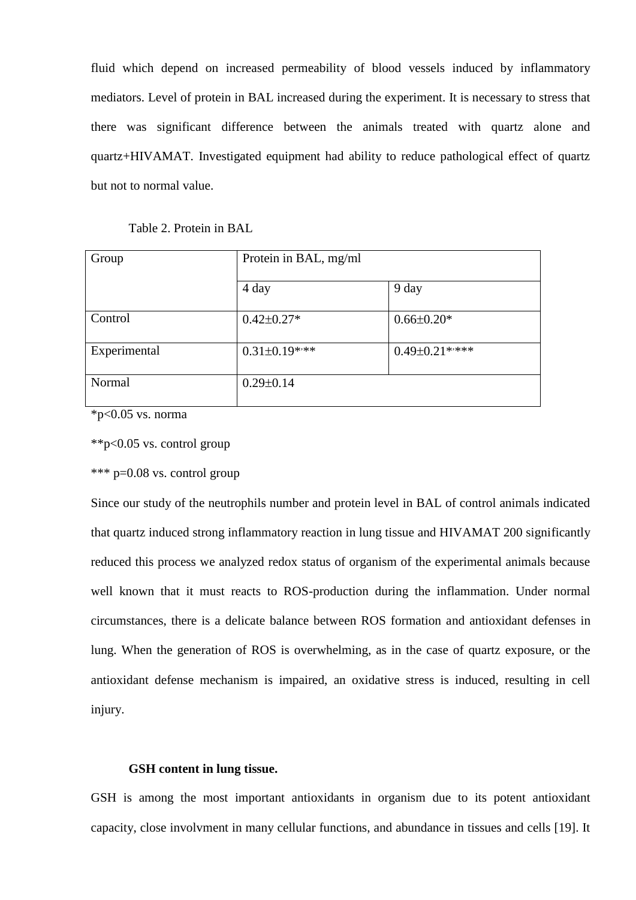fluid which depend on increased permeability of blood vessels induced by inflammatory mediators. Level of protein in BAL increased during the experiment. It is necessary to stress that there was significant difference between the animals treated with quartz alone and quartz+HIVAMAT. Investigated equipment had ability to reduce pathological effect of quartz but not to normal value.

| Group        | Protein in BAL, mg/ml |                       |
|--------------|-----------------------|-----------------------|
|              | 4 day                 | 9 day                 |
| Control      | $0.42 \pm 0.27*$      | $0.66 \pm 0.20*$      |
| Experimental | $0.31 \pm 0.19$ ***   | $0.49 \pm 0.21$ ***** |
| Normal       | $0.29 \pm 0.14$       |                       |

 $*$ p<0.05 vs. norma

\*\*p<0.05 vs. control group

\*\*\* p=0.08 vs. control group

Since our study of the neutrophils number and protein level in BAL of control animals indicated that quartz induced strong inflammatory reaction in lung tissue and HIVAMAT 200 significantly reduced this process we analyzed redox status of organism of the experimental animals because well known that it must reacts to ROS-production during the inflammation. Under normal circumstances, there is a delicate balance between ROS formation and antioxidant defenses in lung. When the generation of ROS is overwhelming, as in the case of quartz exposure, or the antioxidant defense mechanism is impaired, an oxidative stress is induced, resulting in cell injury.

#### **GSH content in lung tissue.**

GSH is among the most important antioxidants in organism due to its potent antioxidant capacity, close involvment in many cellular functions, and abundance in tissues and cells [19]. It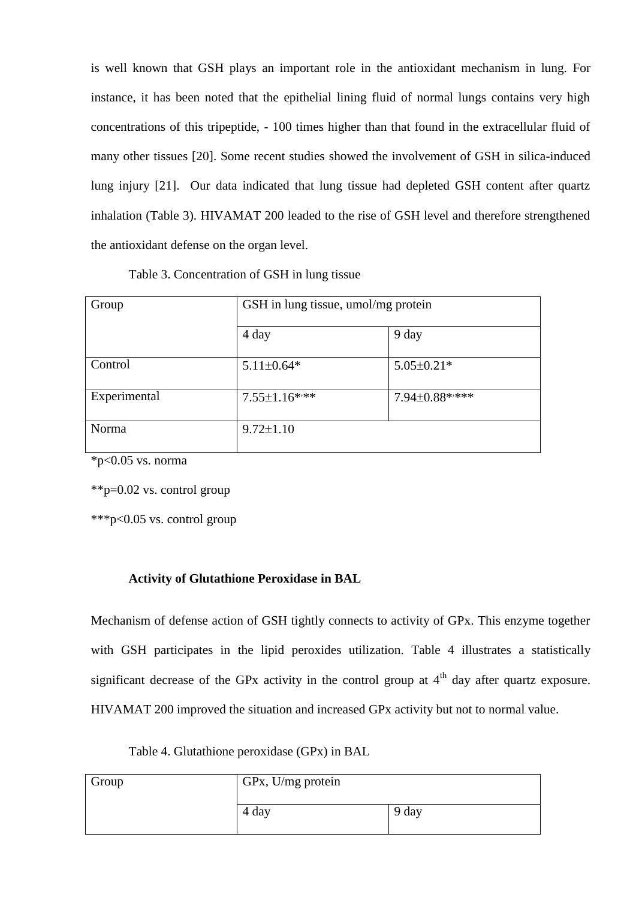is well known that GSH plays an important role in the antioxidant mechanism in lung. For instance, it has been noted that the epithelial lining fluid of normal lungs contains very high concentrations of this tripeptide, - 100 times higher than that found in the extracellular fluid of many other tissues [20]. Some recent studies showed the involvement of GSH in silica-induced lung injury [21]. Our data indicated that lung tissue had depleted GSH content after quartz inhalation (Table 3). HIVAMAT 200 leaded to the rise of GSH level and therefore strengthened the antioxidant defense on the organ level.

| Table 3. Concentration of GSH in lung tissue |                                  |
|----------------------------------------------|----------------------------------|
| up                                           | GSH in lung tissue, umol/mg prot |

| Group        | GSH in lung tissue, umol/mg protein |                  |
|--------------|-------------------------------------|------------------|
|              | 4 day                               | 9 day            |
| Control      | $5.11 \pm 0.64*$                    | $5.05 \pm 0.21*$ |
| Experimental | $7.55 \pm 1.16$ ***                 | 7.94±0.88*****   |
| Norma        | $9.72 \pm 1.10$                     |                  |

 $*$ p<0.05 vs. norma

\*\*p=0.02 vs. control group

\*\*\*p<0.05 vs. control group

### **Activity of Glutathione Peroxidase in BAL**

Mechanism of defense action of GSH tightly connects to activity of GPx. This enzyme together with GSH participates in the lipid peroxides utilization. Table 4 illustrates a statistically significant decrease of the GPx activity in the control group at  $4<sup>th</sup>$  day after quartz exposure. HIVAMAT 200 improved the situation and increased GPx activity but not to normal value.

Table 4. Glutathione peroxidase (GPx) in BAL

| Group | GPx, U/mg protein |       |
|-------|-------------------|-------|
|       | 4 day             | 9 day |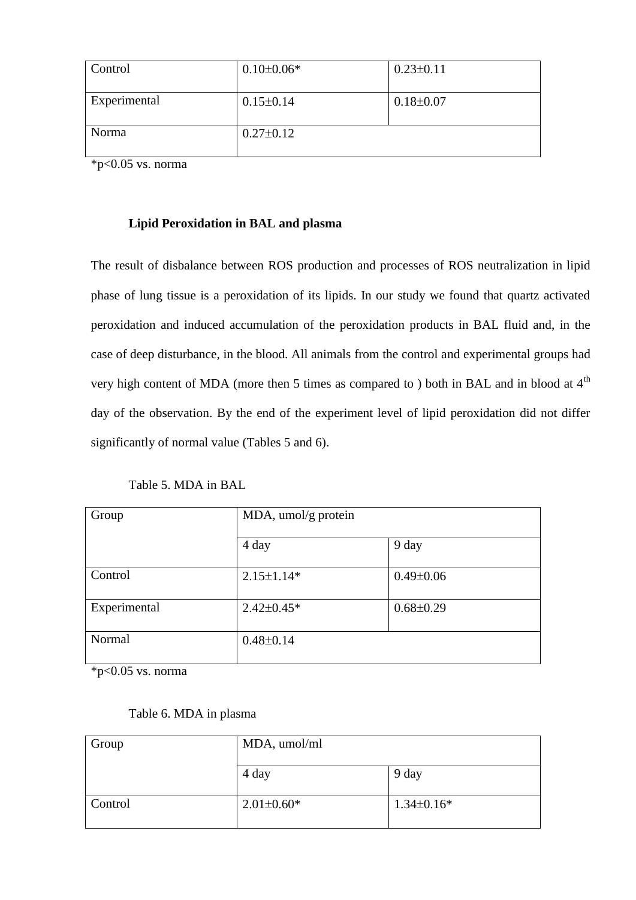| Control      | $0.10 \pm 0.06*$ | $0.23 \pm 0.11$ |
|--------------|------------------|-----------------|
| Experimental | $0.15 \pm 0.14$  | $0.18 \pm 0.07$ |
| Norma        | $0.27 \pm 0.12$  |                 |

 $*$ p<0.05 vs. norma

#### **Lipid Peroxidation in BAL and plasma**

The result of disbalance between ROS production and processes of ROS neutralization in lipid phase of lung tissue is a peroxidation of its lipids. In our study we found that quartz activated peroxidation and induced accumulation of the peroxidation products in BAL fluid and, in the case of deep disturbance, in the blood. All animals from the control and experimental groups had very high content of MDA (more then 5 times as compared to ) both in BAL and in blood at 4<sup>th</sup> day of the observation. By the end of the experiment level of lipid peroxidation did not differ significantly of normal value (Tables 5 and 6).

Table 5. MDA in BAL

| Group        | MDA, umol/g protein |                 |
|--------------|---------------------|-----------------|
|              | 4 day               | 9 day           |
| Control      | $2.15 \pm 1.14*$    | $0.49 \pm 0.06$ |
| Experimental | $2.42 \pm 0.45*$    | $0.68 \pm 0.29$ |
| Normal       | $0.48 \pm 0.14$     |                 |

 $*p<0.05$  vs. norma

| Table 6. MDA in plasma |  |
|------------------------|--|
|------------------------|--|

| Group   | MDA, umol/ml     |                |
|---------|------------------|----------------|
|         | 4 day            | 9 day          |
| Control | $2.01 \pm 0.60*$ | $1.34\pm0.16*$ |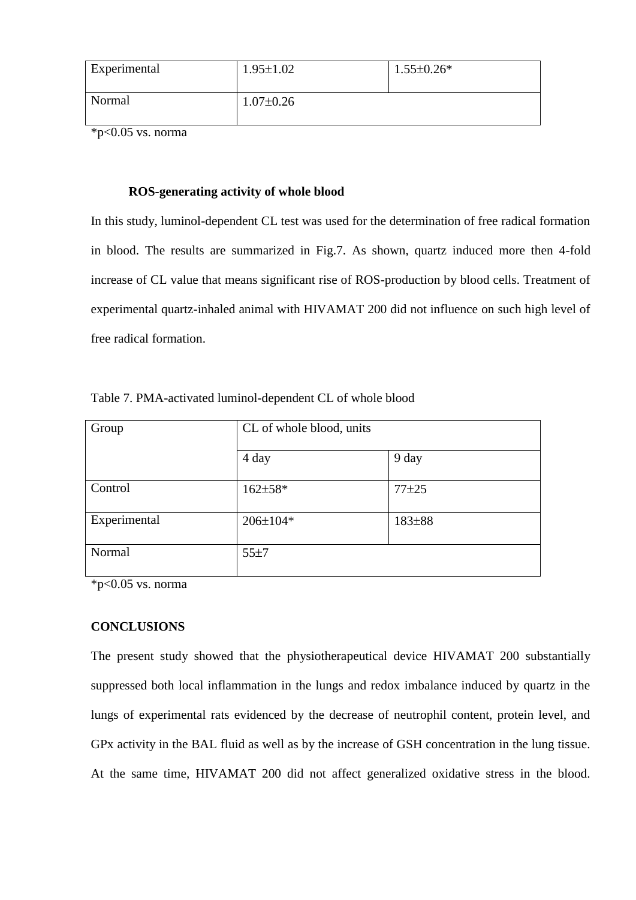| Experimental | $1.95 \pm 1.02$ | $1.55 \pm 0.26*$ |
|--------------|-----------------|------------------|
| Normal       | $1.07 \pm 0.26$ |                  |

 $*$ p<0.05 vs. norma

#### **ROS-generating activity of whole blood**

In this study, luminol-dependent CL test was used for the determination of free radical formation in blood. The results are summarized in Fig.7. As shown, quartz induced more then 4-fold increase of CL value that means significant rise of ROS-production by blood cells. Treatment of experimental quartz-inhaled animal with HIVAMAT 200 did not influence on such high level of free radical formation.

| Group        | CL of whole blood, units |           |
|--------------|--------------------------|-----------|
|              | 4 day                    | 9 day     |
| Control      | $162 \pm 58*$            | $77 + 25$ |
| Experimental | $206 \pm 104*$           | 183±88    |
| Normal       | 55±7                     |           |

Table 7. PMA-activated luminol-dependent CL of whole blood

 $*p<0.05$  vs. norma

#### **CONCLUSIONS**

The present study showed that the physiotherapeutical device HIVAMAT 200 substantially suppressed both local inflammation in the lungs and redox imbalance induced by quartz in the lungs of experimental rats evidenced by the decrease of neutrophil content, protein level, and GPx activity in the BAL fluid as well as by the increase of GSH concentration in the lung tissue. At the same time, HIVAMAT 200 did not affect generalized oxidative stress in the blood.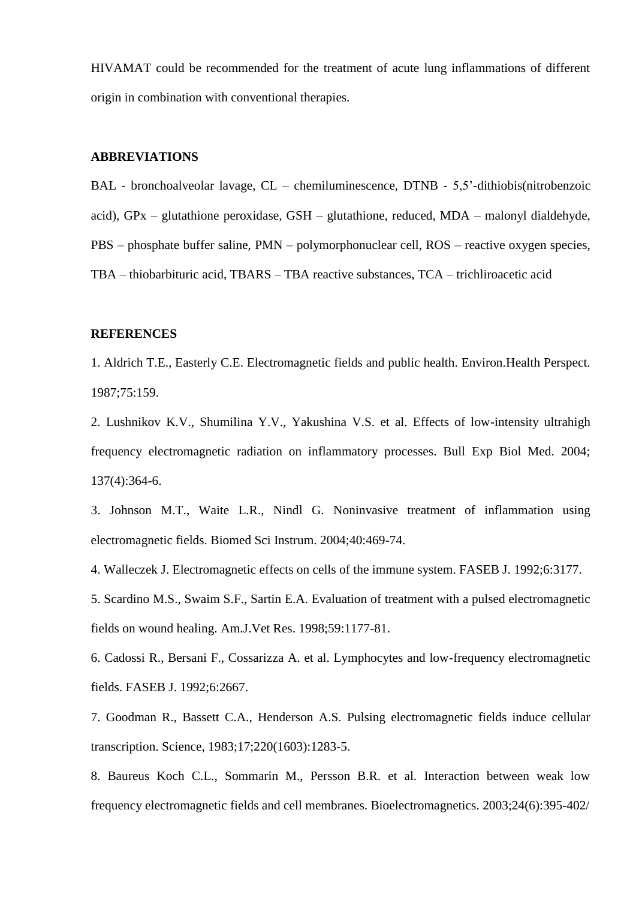HIVAMAT could be recommended for the treatment of acute lung inflammations of different origin in combination with conventional therapies.

#### **ABBREVIATIONS**

BAL - bronchoalveolar lavage, CL – chemiluminescence, DTNB - 5,5'-dithiobis(nitrobenzoic acid), GPx – glutathione peroxidase, GSH – glutathione, reduced, MDA – malonyl dialdehyde, PBS – phosphate buffer saline, PMN – polymorphonuclear cell, ROS – reactive oxygen species, TBA – thiobarbituric acid, TBARS – TBA reactive substances, TCA – trichliroacetic acid

#### **REFERENCES**

1. Aldrich T.E., Easterly C.E. Electromagnetic fields and public health. Environ.Health Perspect. 1987;75:159.

2. Lushnikov K.V., Shumilina Y.V., Yakushina V.S. et al. Effects of low-intensity ultrahigh frequency electromagnetic radiation on inflammatory processes. Bull Exp Biol Med. 2004; 137(4):364-6.

3. Johnson M.T., Waite L.R., Nindl G. Noninvasive treatment of inflammation using electromagnetic fields. Biomed Sci Instrum. 2004;40:469-74.

4. Walleczek J. Electromagnetic effects on cells of the immune system. FASEB J. 1992;6:3177.

5. Scardino M.S., Swaim S.F., Sartin E.A. Evaluation of treatment with a pulsed electromagnetic fields on wound healing. Am.J.Vet Res. 1998;59:1177-81.

6. Cadossi R., Bersani F., Cossarizza A. et al. Lymphocytes and low-frequency electromagnetic fields. FASEB J. 1992;6:2667.

7. Goodman R., Bassett C.A., Henderson A.S. Pulsing electromagnetic fields induce cellular transcription. Science, 1983;17;220(1603):1283-5.

8. Baureus Koch C.L., Sommarin M., Persson B.R. et al. Interaction between weak low frequency electromagnetic fields and cell membranes. Bioelectromagnetics. 2003;24(6):395-402/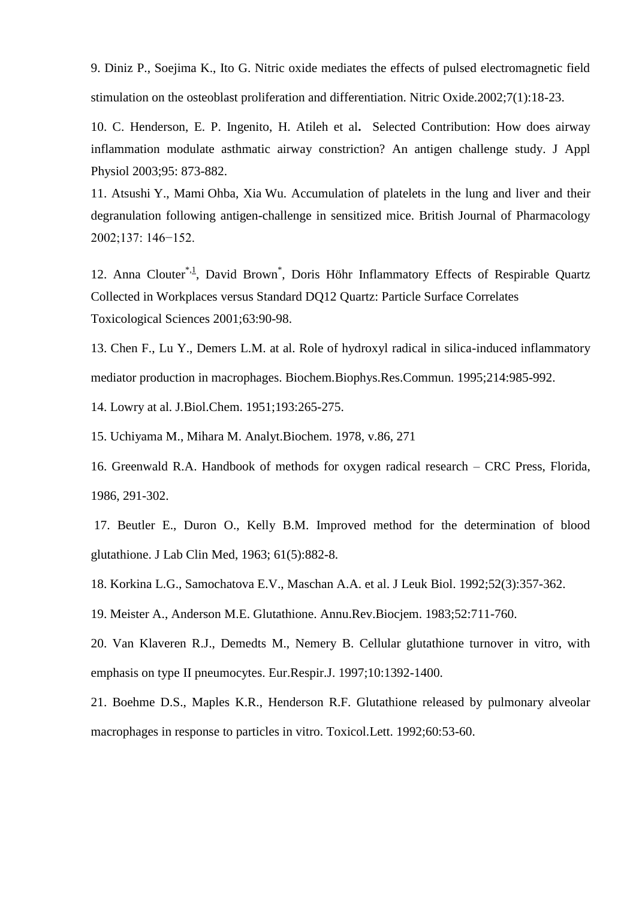9. Diniz P., Soejima K., Ito G. Nitric oxide mediates the effects of pulsed electromagnetic field stimulation on the osteoblast proliferation and differentiation. Nitric Oxide.2002;7(1):18-23.

10. C. Henderson, E. P. Ingenito, H. Atileh et al**.** Selected Contribution: How does airway inflammation modulate asthmatic airway constriction? An antigen challenge study. J Appl Physiol 2003;95: 873-882.

11. Atsushi Y., Mami Ohba, Xia Wu. Accumulation of platelets in the lung and liver and their degranulation following antigen-challenge in sensitized mice. British Journal of Pharmacology 2002;137: 146−152.

12. Anna Clouter<sup>[\\*,1](http://toxsci.oxfordjournals.org/cgi/content/full/63/1/#FN1)</sup>, David Brown<sup>\*</sup>, Doris Höhr Inflammatory Effects of Respirable Quartz Collected in Workplaces versus Standard DQ12 Quartz: Particle Surface Correlates Toxicological Sciences 2001;63:90-98.

13. Chen F., Lu Y., Demers L.M. at al. Role of hydroxyl radical in silica-induced inflammatory mediator production in macrophages. Biochem.Biophys.Res.Commun. 1995;214:985-992.

14. Lowry at al. J.Biol.Chem. 1951;193:265-275.

15. Uchiyama M., Mihara M. Analyt.Biochem. 1978, v.86, 271

16. Greenwald R.A. Handbook of methods for oxygen radical research – CRC Press, Florida, 1986, 291-302.

17. Beutler E., Duron O., Kelly B.M. Improved method for the determination of blood glutathione. J Lab Clin Med, 1963; 61(5):882-8.

18. Korkina L.G., Samochatova E.V., Maschan A.A. et al. J Leuk Biol. 1992;52(3):357-362.

19. Meister A., Anderson M.E. Glutathione. Annu.Rev.Biocjem. 1983;52:711-760.

20. Van Klaveren R.J., Demedts M., Nemery B. Cellular glutathione turnover in vitro, with emphasis on type II pneumocytes. Eur.Respir.J. 1997;10:1392-1400.

21. Boehme D.S., Maples K.R., Henderson R.F. Glutathione released by pulmonary alveolar macrophages in response to particles in vitro. Toxicol.Lett. 1992;60:53-60.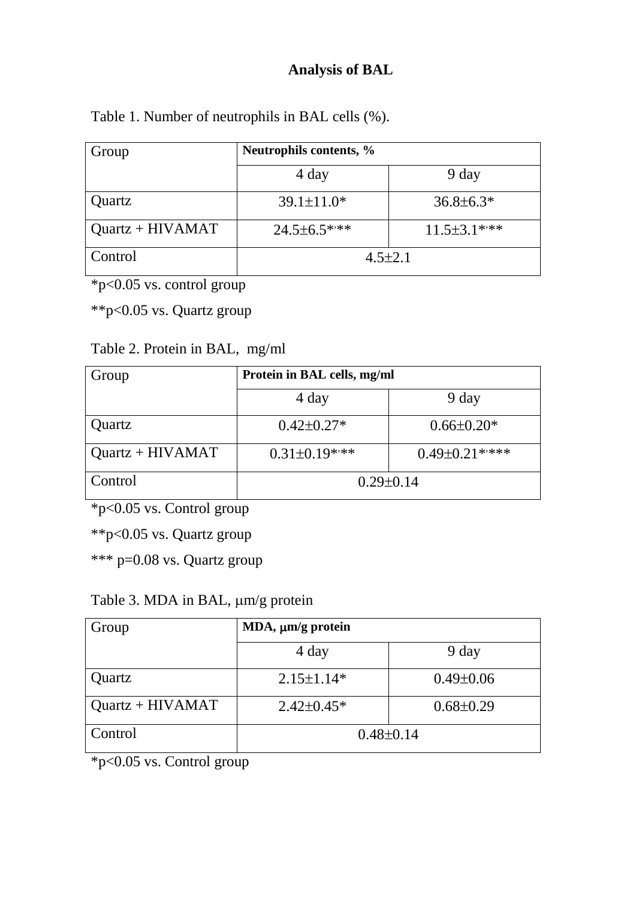# **Analysis of BAL**

|  | Table 1. Number of neutrophils in BAL cells (%). |  |
|--|--------------------------------------------------|--|
|--|--------------------------------------------------|--|

| Group              | Neutrophils contents, % |                 |
|--------------------|-------------------------|-----------------|
|                    | 4 day                   | 9 day           |
| Quartz             | $39.1 \pm 11.0*$        | $36.8 \pm 6.3*$ |
| $Quartz + HIVAMAT$ | $24.5 \pm 6.5$ ***      | $11.5\pm3.1***$ |
| Control            | $4.5 \pm 2.1$           |                 |

\*p<0.05 vs. control group

\*\*p<0.05 vs. Quartz group

# Table 2. Protein in BAL, mg/ml

| Group              | Protein in BAL cells, mg/ml |                      |
|--------------------|-----------------------------|----------------------|
|                    | 4 day                       | 9 day                |
| Quartz             | $0.42 \pm 0.27*$            | $0.66 \pm 0.20*$     |
| $Quartz + HIVAMAT$ | $0.31 \pm 0.19$ ***         | $0.49 \pm 0.21$ **** |
| Control            | $0.29 \pm 0.14$             |                      |

\*p<0.05 vs. Control group

\*\*p<0.05 vs. Quartz group

\*\*\* p=0.08 vs. Quartz group

Table 3. MDA in BAL,  $\mu$ m/g protein

| Group              | MDA, $\mu$ m/g protein |                 |
|--------------------|------------------------|-----------------|
|                    | 4 day                  | 9 day           |
| Quartz             | $2.15 \pm 1.14*$       | $0.49 \pm 0.06$ |
| $Quartz + HIVAMAT$ | $2.42 \pm 0.45*$       | $0.68 \pm 0.29$ |
| Control            | $0.48 \pm 0.14$        |                 |

 $\frac{1}{2}$  \*p<0.05 vs. Control group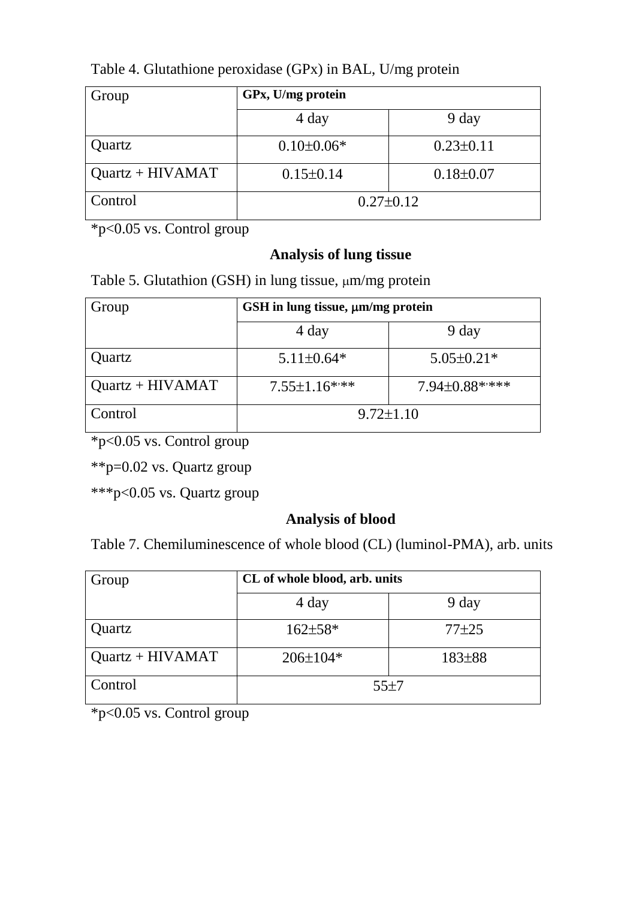| Group              | GPx, U/mg protein |                 |
|--------------------|-------------------|-----------------|
|                    | 4 day             | 9 day           |
| Quartz             | $0.10 \pm 0.06*$  | $0.23 \pm 0.11$ |
| $Quartz + HIVAMAT$ | $0.15 \pm 0.14$   | $0.18 \pm 0.07$ |
| Control            | $0.27 \pm 0.12$   |                 |

Table 4. Glutathione peroxidase (GPx) in BAL, U/mg protein

\*p<0.05 vs. Control group

## **Analysis of lung tissue**

Table 5. Glutathion (GSH) in lung tissue,  $\mu$ m/mg protein

| Group              | GSH in lung tissue, $\mu$ m/mg protein |                  |
|--------------------|----------------------------------------|------------------|
|                    | 4 day                                  | 9 day            |
| Quartz             | $5.11 \pm 0.64*$                       | $5.05 \pm 0.21*$ |
| $Quartz + HIVAMAT$ | $7.55 \pm 1.16$ ***                    | 7.94±0.88*****   |
| Control            | $9.72 \pm 1.10$                        |                  |

\*p<0.05 vs. Control group

\*\*p=0.02 vs. Quartz group

\*\*\*p<0.05 vs. Quartz group

### **Analysis of blood**

Table 7. Chemiluminescence of whole blood (CL) (luminol-PMA), arb. units

| Group              | CL of whole blood, arb. units |           |
|--------------------|-------------------------------|-----------|
|                    | 4 day                         | 9 day     |
| Quartz             | $162 \pm 58*$                 | $77 + 25$ |
| $Quartz + HIVAMAT$ | $206 \pm 104*$                | 183±88    |
| Control            | 55±7                          |           |

\*p<0.05 vs. Control group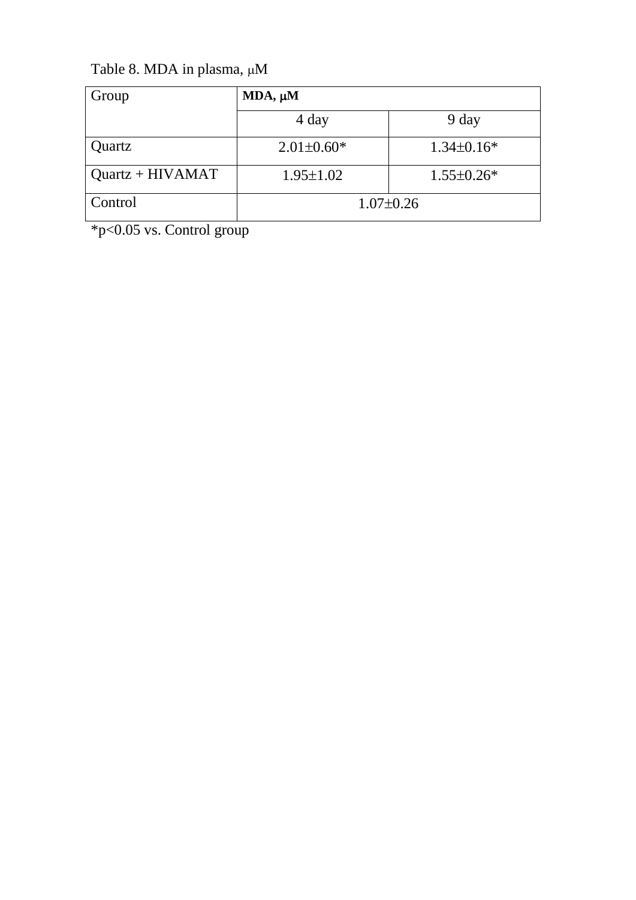Table 8. MDA in plasma,  $\mu$ M

| Group              | $MDA, \mu M$     |                  |
|--------------------|------------------|------------------|
|                    | 4 day            | 9 day            |
| Quartz             | $2.01 \pm 0.60*$ | $1.34\pm0.16*$   |
| $Quartz + HIVAMAT$ | $1.95 \pm 1.02$  | $1.55 \pm 0.26*$ |
| Control            | $1.07 \pm 0.26$  |                  |

\*p<0.05 vs. Control group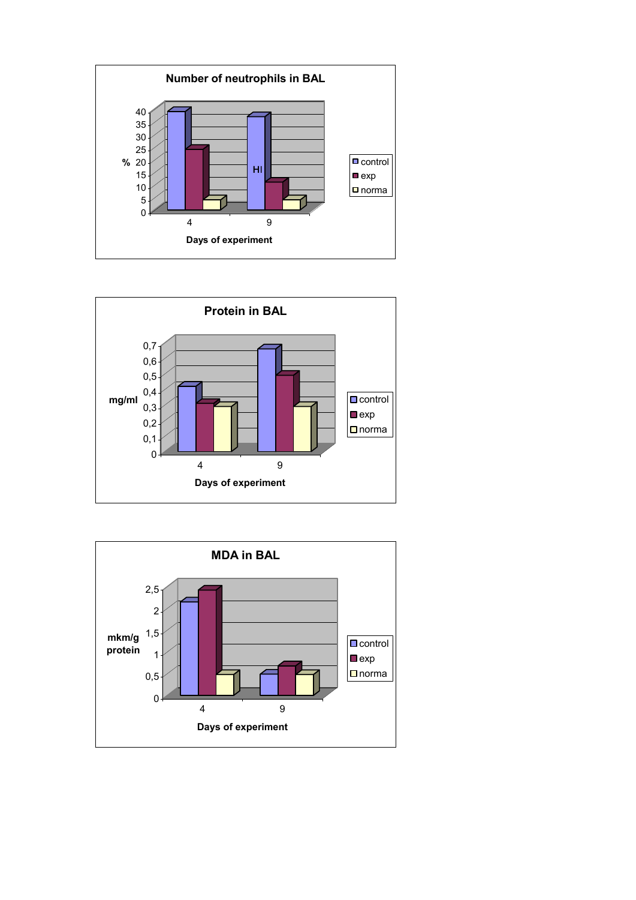